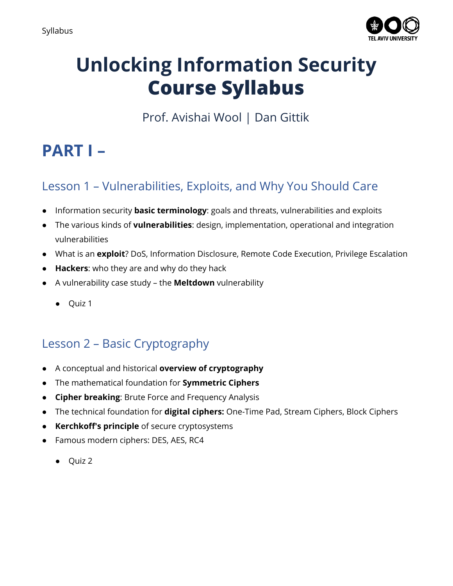

# **Unlocking Information Security Course Syllabus**

Prof. Avishai Wool | Dan Gittik

# **PART I –**

# Lesson 1 – Vulnerabilities, Exploits, and Why You Should Care

- Information security **basic terminology**: goals and threats, vulnerabilities and exploits
- The various kinds of **vulnerabilities**: design, implementation, operational and integration vulnerabilities
- What is an **exploit**? DoS, Information Disclosure, Remote Code Execution, Privilege Escalation
- **Hackers**: who they are and why do they hack
- A vulnerability case study the **Meltdown** vulnerability
	- Quiz 1

# Lesson 2 – Basic Cryptography

- A conceptual and historical **overview of cryptography**
- The mathematical foundation for **Symmetric Ciphers**
- **Cipher breaking**: Brute Force and Frequency Analysis
- The technical foundation for **digital ciphers:** One-Time Pad, Stream Ciphers, Block Ciphers
- **Kerchkoff's principle** of secure cryptosystems
- Famous modern ciphers: DES, AES, RC4
	- Quiz 2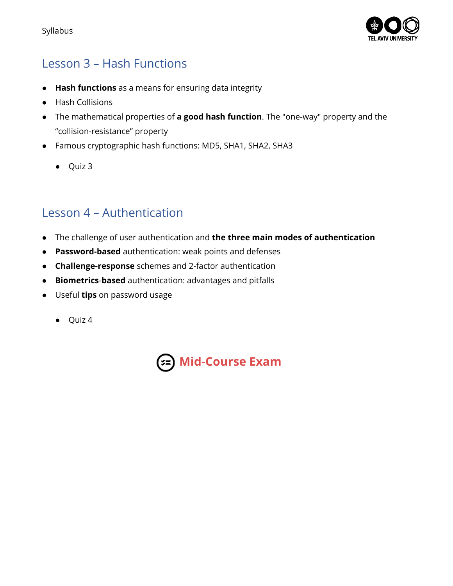

# Lesson 3 – Hash Functions

- **Hash functions** as a means for ensuring data integrity
- Hash Collisions
- The mathematical properties of **a good hash function**. The "one-way" property and the "collision-resistance" property
- Famous cryptographic hash functions: MD5, SHA1, SHA2, SHA3
	- Quiz 3

#### Lesson 4 – Authentication

- The challenge of user authentication and **the three main modes of authentication**
- **Password-based** authentication: weak points and defenses
- **Challenge-response** schemes and 2-factor authentication
- **Biometrics**-**based** authentication: advantages and pitfalls
- Useful **tips** on password usage
	- Quiz 4

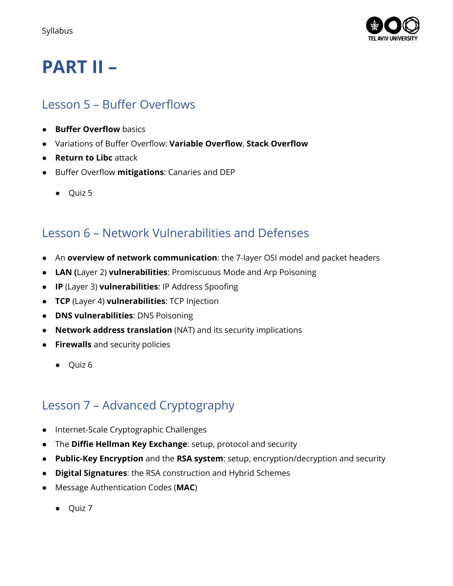

# **PART II –**

### Lesson 5 – Buffer Overflows

- **Buffer Overflow** basics
- Variations of Buffer Overflow: **Variable Overflow**, **Stack Overflow**
- **Return to Libc** attack
- Buffer Overflow **mitigations**: Canaries and DEP
	- Quiz 5

### Lesson 6 – Network Vulnerabilities and Defenses

- An **overview of network communication**: the 7-layer OSI model and packet headers
- **LAN (**Layer 2) **vulnerabilities**: Promiscuous Mode and Arp Poisoning
- **IP** (Layer 3) **vulnerabilities**: IP Address Spoofing
- **TCP** (Layer 4) **vulnerabilities**: TCP Injection
- **DNS vulnerabilities**: DNS Poisoning
- **Network address translation** (NAT) and its security implications
- **Firewalls** and security policies
	- Quiz 6

## Lesson 7 – Advanced Cryptography

- Internet-Scale Cryptographic Challenges
- The **Diffie Hellman Key Exchange**: setup, protocol and security
- **Public-Key Encryption** and the **RSA system**: setup, encryption/decryption and security
- **Digital Signatures**: the RSA construction and Hybrid Schemes
- Message Authentication Codes (**MAC**)
	- Quiz 7